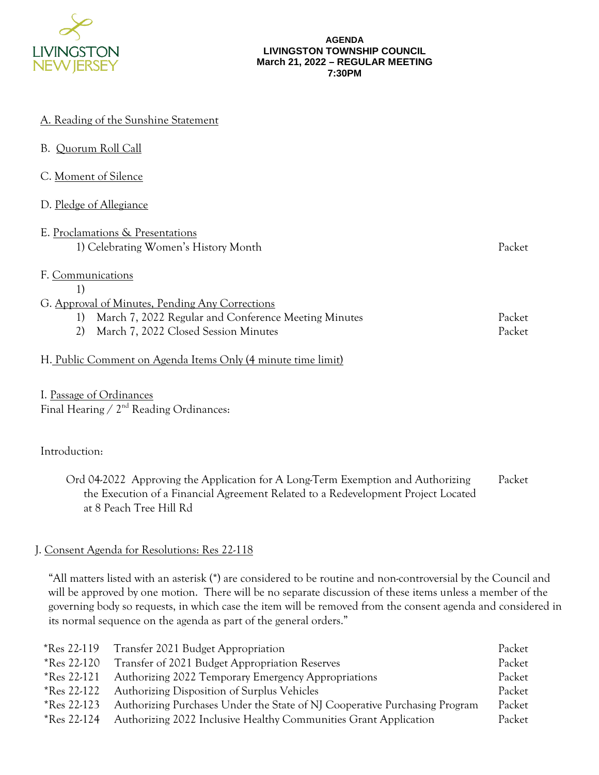

#### **AGENDA LIVINGSTON TOWNSHIP COUNCIL March 21, 2022 – REGULAR MEETING 7:30PM**

|  |  | A. Reading of the Sunshine Statement |
|--|--|--------------------------------------|
|  |  |                                      |

| <b>B.</b> Quorum Roll Call                                               |        |
|--------------------------------------------------------------------------|--------|
| C. Moment of Silence                                                     |        |
| D. Pledge of Allegiance                                                  |        |
| E. Proclamations & Presentations<br>1) Celebrating Women's History Month | Packet |
| F. Communications<br>1)                                                  |        |
| G. Approval of Minutes, Pending Any Corrections                          |        |
| March 7, 2022 Regular and Conference Meeting Minutes<br>1)               | Packet |
| 2)<br>March 7, 2022 Closed Session Minutes                               | Packet |
| H. Public Comment on Agenda Items Only (4 minute time limit)             |        |

I. Passage of Ordinances Final Hearing / 2<sup>nd</sup> Reading Ordinances:

# Introduction:

Ord 04-2022 Approving the Application for A Long-Term Exemption and Authorizing the Execution of a Financial Agreement Related to a Redevelopment Project Located at 8 Peach Tree Hill Rd Packet

# J. Consent Agenda for Resolutions: Res 22-118

"All matters listed with an asterisk (\*) are considered to be routine and non-controversial by the Council and will be approved by one motion. There will be no separate discussion of these items unless a member of the governing body so requests, in which case the item will be removed from the consent agenda and considered in its normal sequence on the agenda as part of the general orders."

| *Res 22-119        | Transfer 2021 Budget Appropriation                                         | Packet |
|--------------------|----------------------------------------------------------------------------|--------|
| *Res 22-120        | Transfer of 2021 Budget Appropriation Reserves                             | Packet |
| $*$ Res 22-121     | Authorizing 2022 Temporary Emergency Appropriations                        | Packet |
| <i>*Res</i> 22-122 | Authorizing Disposition of Surplus Vehicles                                | Packet |
| *Res 22-123        | Authorizing Purchases Under the State of NJ Cooperative Purchasing Program | Packet |
| $*$ Res 22-124     | Authorizing 2022 Inclusive Healthy Communities Grant Application           | Packet |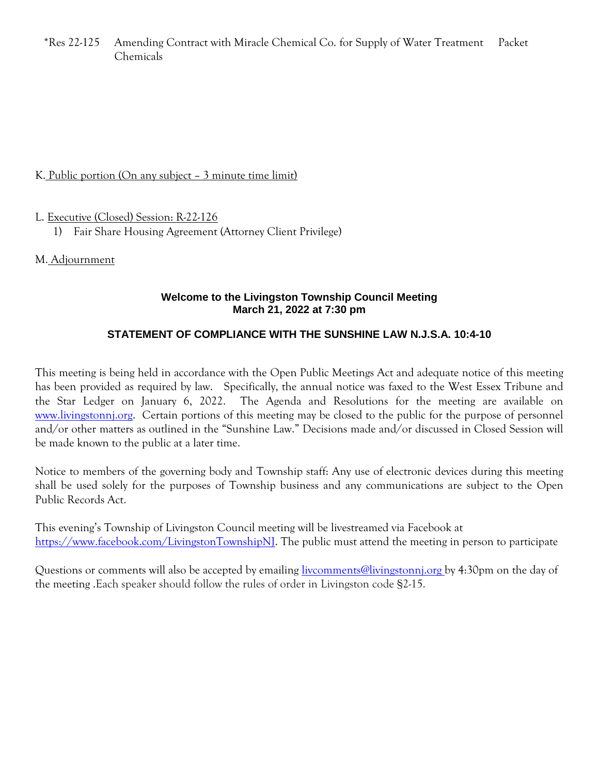\*Res 22-125 Amending Contract with Miracle Chemical Co. for Supply of Water Treatment Chemicals Packet

# K. Public portion (On any subject – 3 minute time limit)

L. Executive (Closed) Session: R-22-126

1) Fair Share Housing Agreement (Attorney Client Privilege)

M. Adjournment

## **Welcome to the Livingston Township Council Meeting March 21, 2022 at 7:30 pm**

# **STATEMENT OF COMPLIANCE WITH THE SUNSHINE LAW N.J.S.A. 10:4-10**

This meeting is being held in accordance with the Open Public Meetings Act and adequate notice of this meeting has been provided as required by law. Specifically, the annual notice was faxed to the West Essex Tribune and the Star Ledger on January 6, 2022. The Agenda and Resolutions for the meeting are available on [www.livingstonnj.org.](http://www.livingstonnj.org/) Certain portions of this meeting may be closed to the public for the purpose of personnel and/or other matters as outlined in the "Sunshine Law." Decisions made and/or discussed in Closed Session will be made known to the public at a later time.

Notice to members of the governing body and Township staff: Any use of electronic devices during this meeting shall be used solely for the purposes of Township business and any communications are subject to the Open Public Records Act.

This evening's Township of Livingston Council meeting will be livestreamed via Facebook at [https://www.facebook.com/LivingstonTownshipNJ.](https://www.facebook.com/LivingstonTownshipNJ) The public must attend the meeting in person to participate

Questions or comments will also be accepted by emailing *livcomments@livingstonnj.org* by 4:30pm on the day of the meeting .Each speaker should follow the rules of order in Livingston code §2-15.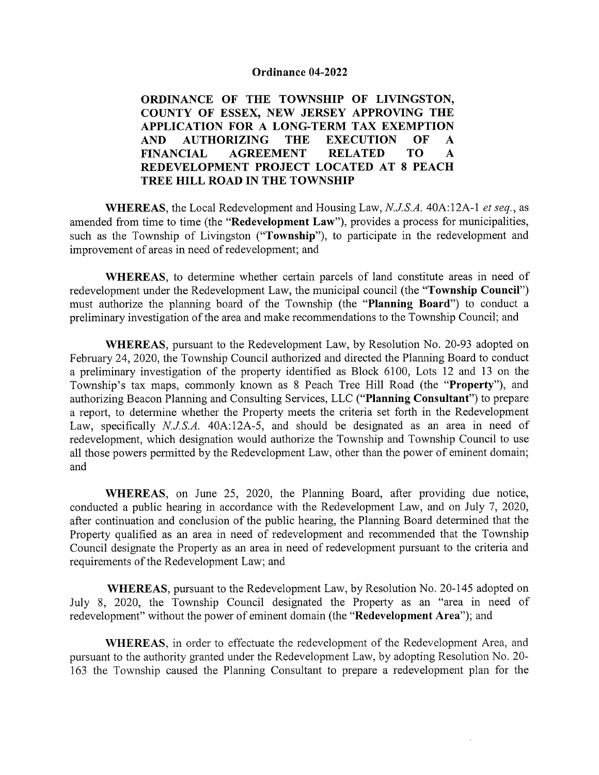#### Ordinance 04-2022

ORDINANCE OF THE TOWNSHIP OF LIVINGSTON, COUNTY OF ESSEX, NEW JERSEY APPROVING THE APPLICATION FOR A LONG-TERM TAX EXEMPTION AND AUTHORIZING THE EXECUTION OF A FINANCIAL AGREEMENT RELATED TO A REDEVELOPMENT PROJECT LOCATED AT <sup>8</sup> PEACH TREE HILL ROAD IN THE TOWNSHIP

WHEREAS, the Local Redevelopment and Housing Law, N.J.S.A. 40A:12A-1 et seq., as amended from time to time (the "Redevelopment Law"), provides a process for municipalities, such as the Township of Livingston ("Township"), to participate in the redevelopment and improvement of areas in need of redevelopment; and

WHEREAS, to determine whether certain parcels of land constitute areas in need of redevelopment under the Redevelopment Law, the municipal council (the "Township Council") must authorize the planning board of the Township (the "Planning Board") to conduct <sup>a</sup> preliminary investigation of the area and make recommendations to the Township Council; and

WHEREAS, pursuant to the Redevelopment Law, by Resolution No. 20-93 adopted on February 24, 2020, the Township Council authorized and directed the Planning Board to conduct <sup>a</sup> preliminary investigation of the property identified as Block 6100, Lots <sup>12</sup> and <sup>13</sup> on the Township's tax maps, commonly known as <sup>8</sup> Peach Tree Hill Road (the "Property"), and authorizing Beacon Planning and Consulting Services, LLC ("Planning Consultant") to prepare a report, to determine whether the Property meets the criteria set forth in the Redevelopment Law, specifically  $N.J.S.A.$  40A:12A-5, and should be designated as an area in need of redevelopment, which designation would authorize the Township and Township Council to use all those powers permitted by the Redevelopment Law, other than the power of eminent domain; and

WHEREAS, on June 25, 2020, the Planning Board, after providing due notice, conducted a public hearing in accordance with the Redevelopment Law, and on July 7, 2020, after continuation and conclusion of the public hearing, the Planning Board determined that the Property qualified as an area in need of redevelopment and recommended that the Township Council designate the Property as an area in need of redevelopment pursuant to the criteria and requirements of the Redevelopment Law; and

WHEREAS, pursuant to the Redevelopment Law, by Resolution No. 20-145 adopted on July 8, 2020, the Township Council designated the Property as an "area in need of redevelopment" without the power of eminent domain (the "Redevelopment Area"); and

WHEREAS, in order to effectuate the redevelopment of the Redevelopment Area, and pursuant to the authority granted under the Redevelopment Law, by adopting Resolution No. 20- 163 the Township caused the Planning Consultant to prepare a redevelopment plan for the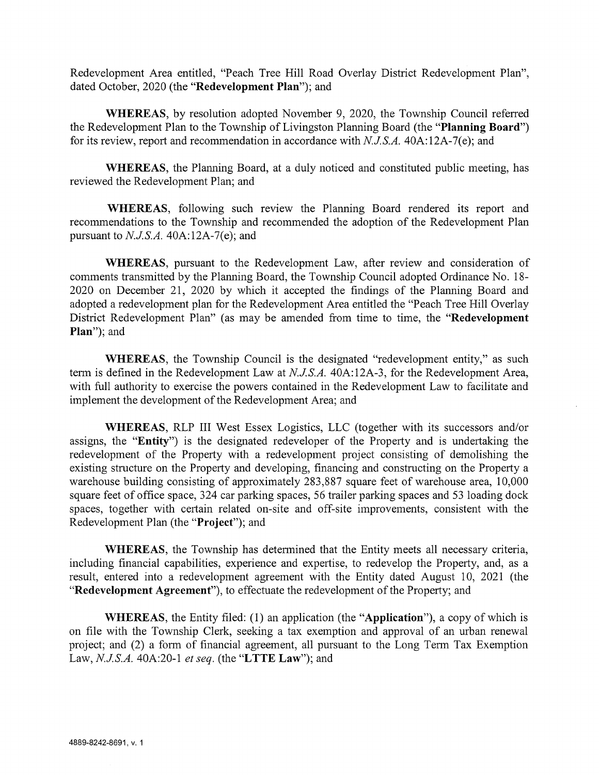Redevelopment Area entitled, "Peach Tree Hill Road Overlay District Redevelopment Plan", dated October, 2020 (the "Redevelopment Plan"); and

WHEREAS, by resolution adopted November 9, 2020, the Township Council referred the Redevelopment Plan to the Township of Livingston Planning Board (the "**Planning Board**") for its review, report and recommendation in accordance with  $N.J.S.A.$  40A:12A-7(e); and

WHEREAS, the Planning Board, at <sup>a</sup> duly noticed and constituted public meeting, has reviewed the Redevelopment Plan; and

WHEREAS, following such review the Planning Board rendered its report and recommendations to the Township and recommended the adoption of the Redevelopment Plan pursuant to  $N.J.S.A.$  40A:12A-7(e); and

WHEREAS, pursuant to the Redevelopment Law, afier review and consideration of comments transmitted by the Planning Board, the Township Council adopted Ordinance No. 18- 2020 on December 21, 2020 by which it accepted the findings of the Planning Board and adopted <sup>a</sup> redevelopment plan for the Redevelopment Area entitled the "Peach Tree Hill Overlay District Redevelopment Plan" (as may be amended from time to time, the "Redevelopment Plan"); and

WHEREAS, the Township Council is the designated "redevelopment entity," as such term is defined in the Redevelopment Law at N.J.S.A. 40A:12A-3, for the Redevelopment Area, with full authority to exercise the powers contained in the Redevelopment Law to facilitate and implement the development of the Redevelopment Area; and

WHEREAS, RLP III West Essex Logistics, LLC (together with its successors and/or assigns, the "Entity") is the designated redeveloper of the Property and is undertaking the redevelopment of the Property with <sup>a</sup> redevelopment project consisting of demolishing the existing structure on the Property and developing, financing and constructing on the Property a warehouse building consisting of approximately 283,887 square feet of warehouse area, 10,000 square feet of office space, 324 car parking spaces, 56 trailer parking spaces and 53 loading dock spaces, together with certain related on-site and off-site improvements, consistent with the Redevelopment Plan (the "Project"); and

WHEREAS, the Township has determined that the Entity meets all necessary criteria, including financial capabilities, experience and expertise, to redevelop the Property, and, as a result, entered into a redevelopment agreement with the Entity dated August 10, 2021 (the "Redevelopment Agreement"), to effectuate the redevelopment of the Property; and

WHEREAS, the Entity filed: (1) an application (the "Application"), <sup>a</sup> copy of which is on file with the Township Clerk, seeking <sup>a</sup> tax exemption and approval of an urban renewal project; and (2) <sup>a</sup> form of financial agreement, all pursuant to the Long Term Tax Exemption Law,  $N.J.S.A.$  40A:20-1 et seq. (the "LTTE Law"); and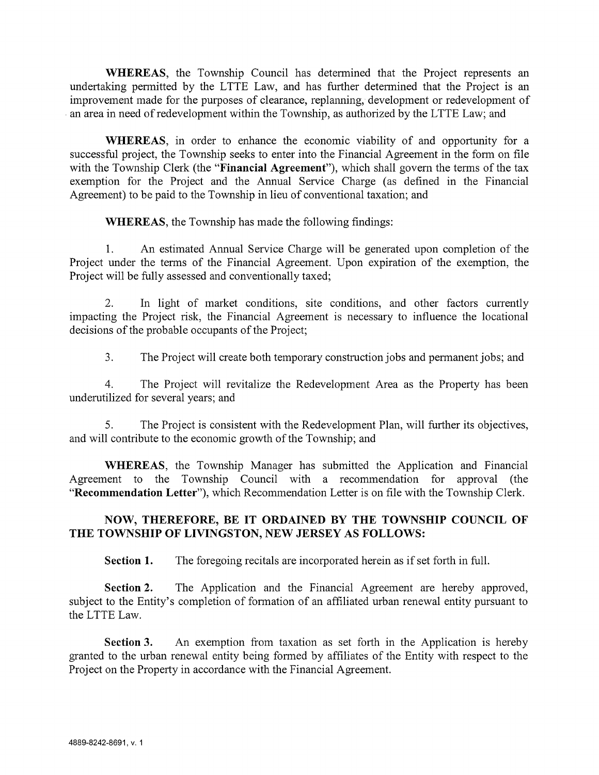WHEREAS, the Township Council has determined that the Project represents an undertaking permitted by the LTTE Law, and has further determined that the Project is an improvement made for the purposes of clearance, replanning, development or redevelopment of an area in need of redevelopment within the Township, as authorized by the LTTE Law; and

WHEREAS, in order to enhance the economic viability of and opportunity for <sup>a</sup> successful project, the Township seeks to enter into the Financial Agreement in the form on file with the Township Clerk (the "**Financial Agreement**"), which shall govern the terms of the tax exemption for the Project and the Annual Service Charge (as defined in the Financial Agreement) to be paid to the Township in lieu of conventional taxation; and

WHEREAS, the Township has made the following findings:

1. An estimated Annual Service Charge will be generated upon completion of the Project under the terms of the Financial Agreement. Upon expiration of the exemption, the Project will be fully assessed and conventionally taxed;

2. In light of market conditions, site conditions, and other factors currently impacting the Project risk, the Financial Agreement is necessary to influence the locational decisions of the probable occupants of the Project;

3. The Project will create both temporary construction jobs and permanent jobs; and

4. The Project will revitalize the Redevelopment Area as the Property has been underutilized for several years; and

5. The Project is consistent with the Redevelopment Plan, will further its objectives, and will contribute to the economic growth of the Township; and

WHEREAS, the Township Manager has submitted the Application and Financial Agreement to the Township Council with <sup>a</sup> recommendation for approval (the "Recommendation Letter"), which Recommendation Letter is on file with the Township Clerk.

## NOW, THEREFORE, BE IT ORDAINED BY THE TOWNSHIP COUNCIL OF THE TOWNSHIP OF LIVINGSTON, NEW JERSEY AS FOLLOWS:

Section 1. The foregoing recitals are incorporated herein as if set forth in full.

Section 2. The Application and the Financial Agreement are hereby approved, subject to the Entity's completion of formation of an affiliated urban renewal entity pursuant to the LTTE Law.

Section 3. An exemption from taxation as set forth in the Application is hereby granted to the urban renewal entity being formed by affiliates of the Entity with respect to the Project on the Property in accordance with the Financial Agreement.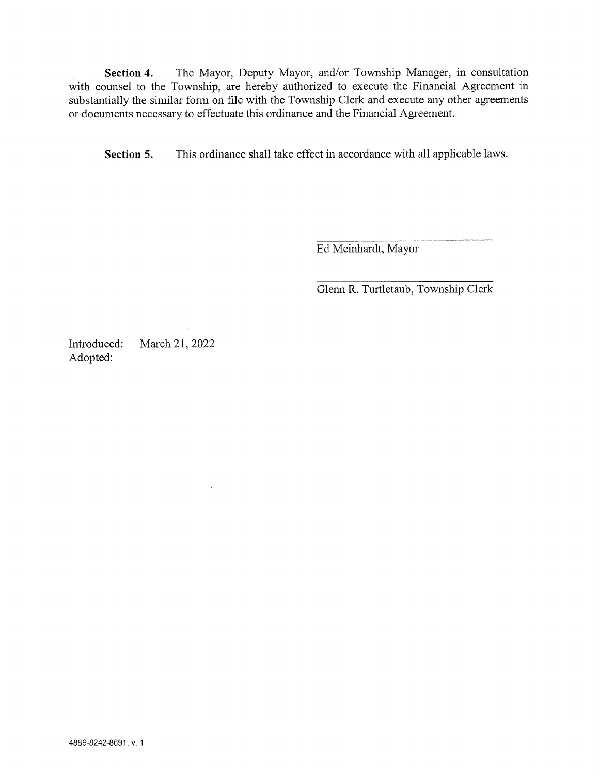Section 4. The Mayor, Deputy Mayor, and/or Township Manager, in consultation with counsel to the Township, are hereby authorized to execute the Financial Agreement in substantially the similar form on file with the Township Clerk and execute any other agreements or documents necessary to effectuate this ordinance and the Financial Agreement.

Section 5. This ordinance shall take effect in accordance with all applicable laws.

Ed Meinhardt, Mayor

Glenn R. Turtletaub, Township Clerk

Introduced: March 21, 2022 Adopted:

 $\ddot{\phantom{1}}$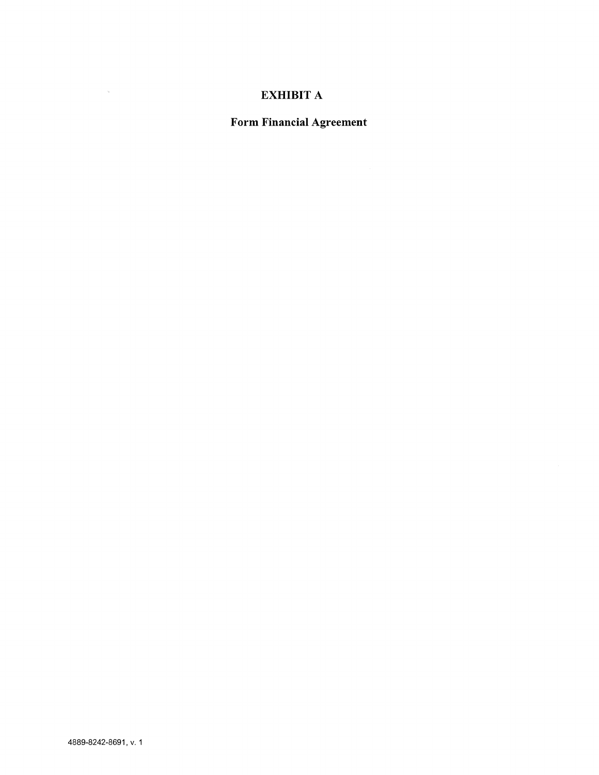# EXHIBIT A

Form Financial Agreement

 $\sim$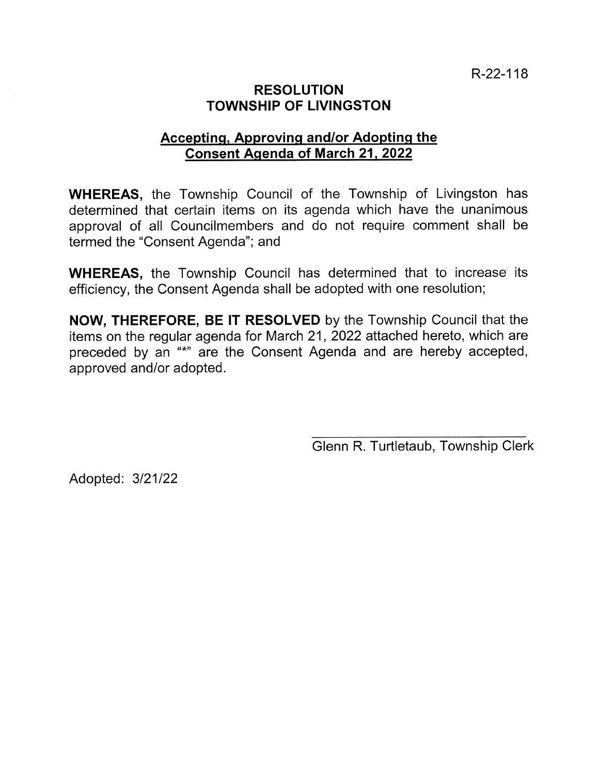# RESOLUTION TOWNSHIP OF LIVINGSTON

# Accepting, Approving and/or Adopting the Consent Agenda of March 21, 2022

WHEREAS, the Township Council of the Township of Livingston has determined that certain items on its agenda which have the unanimous approval of all Councilmembers and do not require comment shall be termed the "Consent Agenda"; and

WHEREAS, the Township Council has determined that to increase its efficiency, the Consent Agenda shall be adopted with one resolution;

NOW, THEREFORE, BE IT RESOLVED by the Township Council that the items on the regular agenda for March 21, 2022 attached hereto, which are preceded by an "\*" are the Consent Agenda and are hereby accepted, approved and/or adopted.

Glenn R. Turtletaub, Township Clerk

Adopted: 3/21/22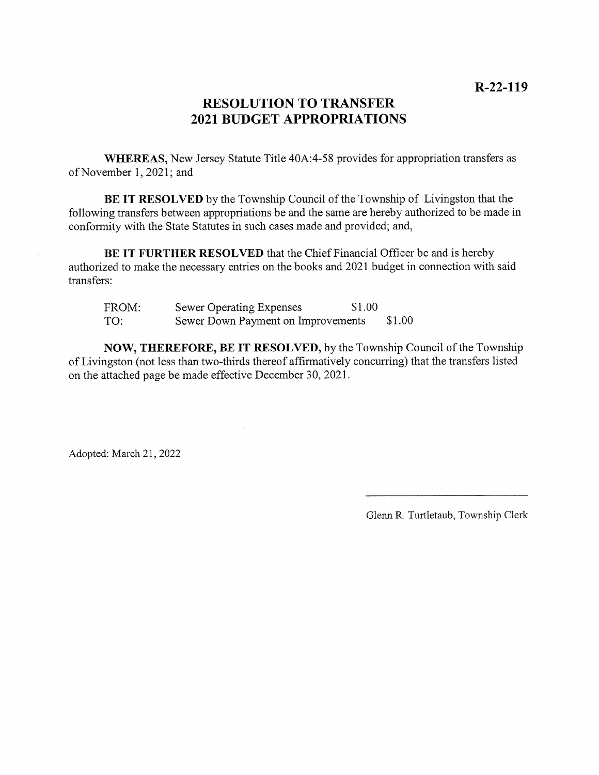# RESOLUTION TO TRANSFER 2021 BUDGET APPROPRIATIONS

WHEREAS, New Jersey Statute Title 40A:4-58 provides for appropriation transfers as of November 1, 2021; and

BE IT RESOLVED by the Township Council of the Township of Livingston that the following transfers between appropriations be and the same are hereby authorized to be made in conformity with the State Statutes in such cases made and provided; and,

BE IT FURTHER RESOLVED that the Chief Financial Officer be and is hereby authorized to make the necessary entries on the books and 2021 budget in connection with said transfers:

| FROM: | Sewer Operating Expenses           | \$1.00 |        |
|-------|------------------------------------|--------|--------|
| TO:   | Sewer Down Payment on Improvements |        | \$1.00 |

NOW, THEREFORE, BE IT RESOLVED, by the Township Council of the Township of Livingston (not less than two-thirds thereof affirmatively concurring) that the transfers listed on the attached page be made effective December 30, 2021.

Adopted: March 21, 2022

Glenn R. Turtletaub, Township Clerk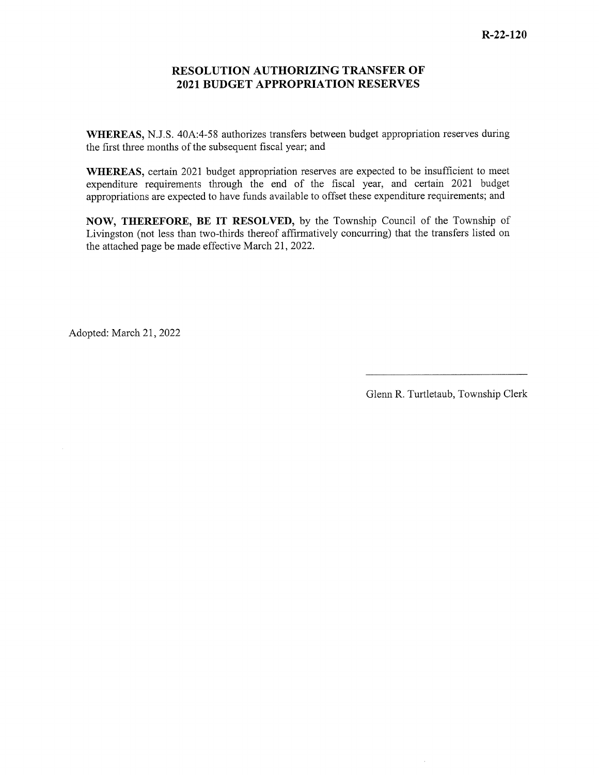### RESOLUTION AUTHORIZING TRANSFER OF 2021 BUDGET APPROPRIATION RESERVES

WHEREAS, N.J.S. 40A:4-58 authorizes transfers between budget appropriation reserves during the first three months of the subsequent fiscal year; and

WHEREAS, certain 2021 budget appropriation reserves are expected to be insufficient to meet expenditure requirements through the end of the fiscal year, and certain 2021 budget appropriations are expected to have funds available to offset these expenditure requirements; and

NOW, THEREFORE, BE IT RESOLVED, by the Township Council of the Township of Livingston (not less than two-thirds thereof affirmatively concurring) that the transfers listed on the attached page be made effective March 21, 2022.

Adopted: March 21, 2022

Glenn R. Turtletaub, Township Clerk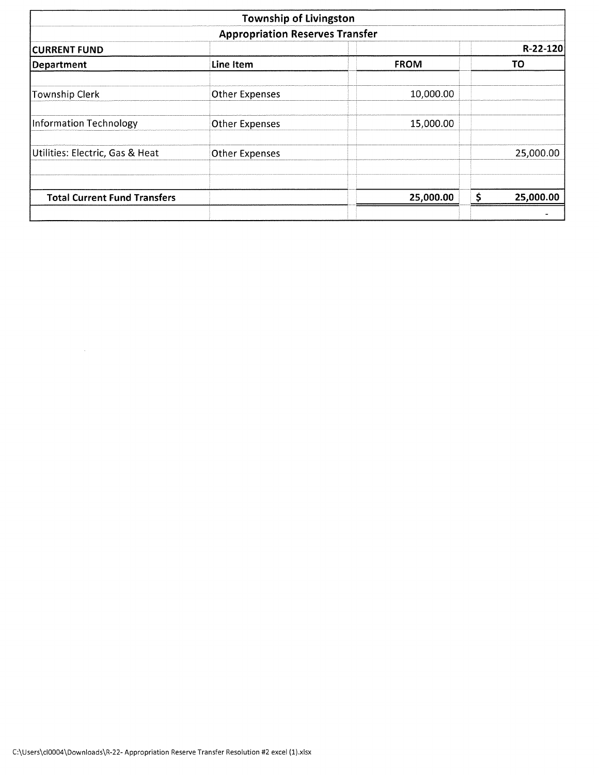|                                     | <b>Township of Livingston</b>          |             |    |            |  |  |  |
|-------------------------------------|----------------------------------------|-------------|----|------------|--|--|--|
|                                     | <b>Appropriation Reserves Transfer</b> |             |    |            |  |  |  |
| <b>CURRENT FUND</b>                 |                                        |             |    | $R-22-120$ |  |  |  |
| Department                          | Line Item                              | <b>FROM</b> |    | TO         |  |  |  |
| <b>Township Clerk</b>               | <b>Other Expenses</b>                  | 10,000.00   |    |            |  |  |  |
| Information Technology              | <b>Other Expenses</b>                  | 15,000.00   |    |            |  |  |  |
| Utilities: Electric, Gas & Heat     | <b>Other Expenses</b>                  |             |    | 25,000.00  |  |  |  |
| <b>Total Current Fund Transfers</b> |                                        | 25,000.00   | \$ | 25,000.00  |  |  |  |
|                                     |                                        |             |    |            |  |  |  |

 $\mathcal{A}^{\mathcal{A}}$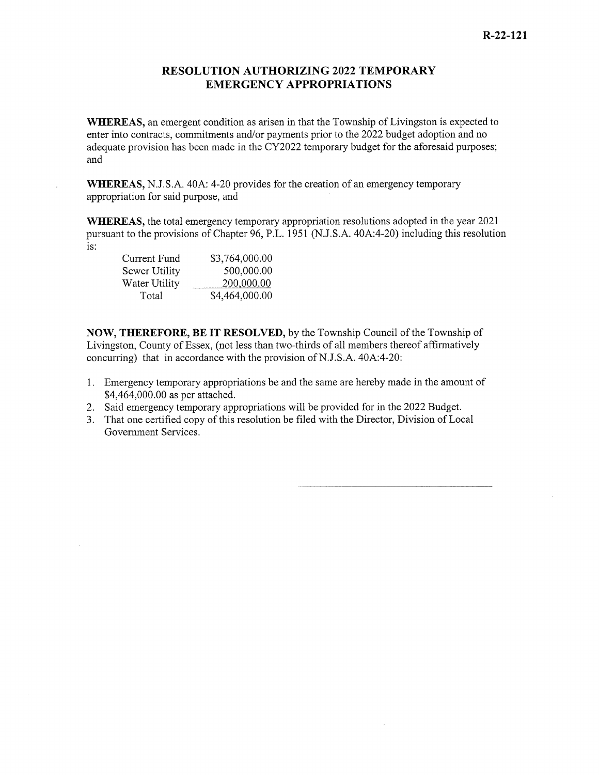### RESOLUTION AUTHORIZING 2022 TEMPORARY EMERGENCY APPROPRIATIONS

WhEREAS, an emergent condition as arisen in that the Township of Livingston is expected to enter into contracts, commitments and/or payments prior to the 2022 budget adoption and no adequate provision has been made in the CY2022 temporary budget for the aforesaid purposes; and

WhEREAS, N.J.S.A. 40A: 4-20 provides for the creation of an emergency temporary appropriation for said purpose, and

WhEREAS, the total emergency temporary appropriation resolutions adopted in the year 2021 pursuant to the provisions of Chapter 96, P.L. 1951 (N.J.S.A. 40A:4-20) including this resolution is:

| Current Fund  | \$3,764,000.00 |
|---------------|----------------|
| Sewer Utility | 500,000.00     |
| Water Utility | 200,000.00     |
| Total         | \$4,464,000.00 |

NOW, THEREFORE, BE IT RESOLVED, by the Township Council of the Township of Livingston, County of Essex, (not less than two-thirds of all members thereof affirmatively concurring) that in accordance with the provision of N.J.S.A.  $40A:4-20$ :

- 1. Emergency temporary appropriations be and the same are hereby made in the amount of \$4,464,000.00 as per attached.
- 2. Said emergency temporary appropriations will be provided for in the 2022 Budget.
- 3. That one certified copy of this resolution be filed with the Director, Division of Local Govermnent Services.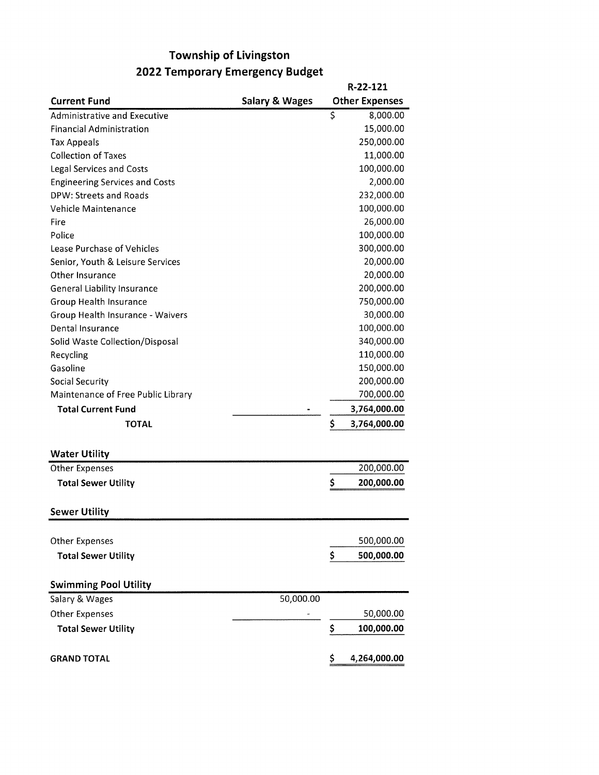# Township of Livingston 2022 Temporary Emergency Budget

|                                       |                           | R-22-121              |
|---------------------------------------|---------------------------|-----------------------|
| <b>Current Fund</b>                   | <b>Salary &amp; Wages</b> | <b>Other Expenses</b> |
| Administrative and Executive          |                           | \$<br>8,000.00        |
| <b>Financial Administration</b>       |                           | 15,000.00             |
| <b>Tax Appeals</b>                    |                           | 250,000.00            |
| <b>Collection of Taxes</b>            |                           | 11,000.00             |
| <b>Legal Services and Costs</b>       |                           | 100,000.00            |
| <b>Engineering Services and Costs</b> |                           | 2,000.00              |
| DPW: Streets and Roads                |                           | 232,000.00            |
| Vehicle Maintenance                   |                           | 100,000.00            |
| Fire                                  |                           | 26,000.00             |
| Police                                |                           | 100,000.00            |
| Lease Purchase of Vehicles            |                           | 300,000.00            |
| Senior, Youth & Leisure Services      |                           | 20,000.00             |
| Other Insurance                       |                           | 20,000.00             |
| <b>General Liability Insurance</b>    |                           | 200,000.00            |
| Group Health Insurance                |                           | 750,000.00            |
| Group Health Insurance - Waivers      |                           | 30,000.00             |
| Dental Insurance                      |                           | 100,000.00            |
| Solid Waste Collection/Disposal       |                           | 340,000.00            |
| Recycling                             |                           | 110,000.00            |
| Gasoline                              |                           | 150,000.00            |
| <b>Social Security</b>                |                           | 200,000.00            |
| Maintenance of Free Public Library    |                           | 700,000.00            |
| <b>Total Current Fund</b>             |                           | 3,764,000.00          |
| <b>TOTAL</b>                          |                           | \$<br>3,764,000.00    |
| <b>Water Utility</b>                  |                           |                       |
| <b>Other Expenses</b>                 |                           | 200,000.00            |
| <b>Total Sewer Utility</b>            |                           | \$<br>200,000.00      |
| <b>Sewer Utility</b>                  |                           |                       |
| <b>Other Expenses</b>                 |                           | 500,000.00            |
| <b>Total Sewer Utility</b>            |                           | \$<br>500,000.00      |
|                                       |                           |                       |
| <b>Swimming Pool Utility</b>          |                           |                       |
| Salary & Wages                        | 50,000.00                 |                       |
| Other Expenses                        |                           | 50,000.00             |
| <b>Total Sewer Utility</b>            |                           | \$<br>100,000.00      |
| <b>GRAND TOTAL</b>                    |                           | \$<br>4,264,000.00    |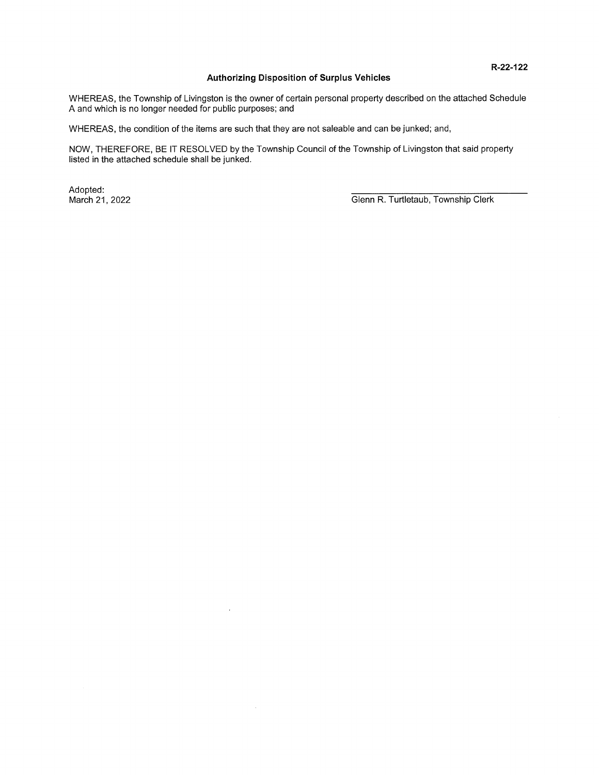#### Authorizing Disposition of Surplus Vehicles

WHEREAS, the Township of Livingston is the owner of certain personal property described on the attached Schedule A and which is no longer needed for public purposes; and

WHEREAS, the condition of the items are such that they are not saleable and can be junked; and,

 $\bar{\psi}$ 

NOW, THEREFORE, BE IT RESOLVED by the Township Council of the Township of Livingston that said property listed in the attached schedule shall be junked.

Adopted: \_\_\_\_\_\_\_\_\_\_\_\_\_\_\_\_\_\_\_\_\_\_\_\_\_\_\_\_\_\_\_\_\_\_\_\_\_\_\_

March 21, 2022 **March 21, 2022** Glenn R. Turtletaub, Township Clerk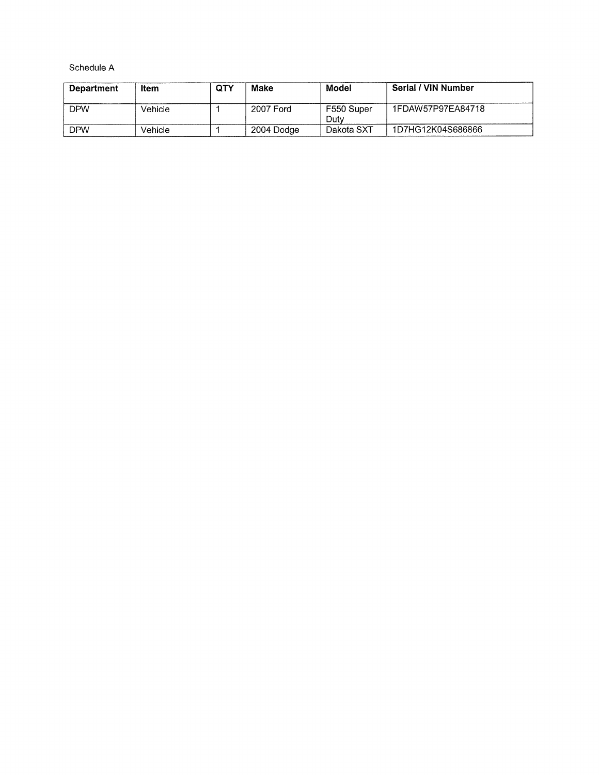Schedule A

| <b>Department</b> | Item    | <b>QTY</b> | Make       | Model              | Serial / VIN Number |
|-------------------|---------|------------|------------|--------------------|---------------------|
| <b>DPW</b>        | Vehicle |            | 2007 Ford  | F550 Super<br>Dutv | 1FDAW57P97EA84718   |
| <b>DPW</b>        | Vehicle |            | 2004 Dodge | Dakota SXT         | 1D7HG12K04S686866   |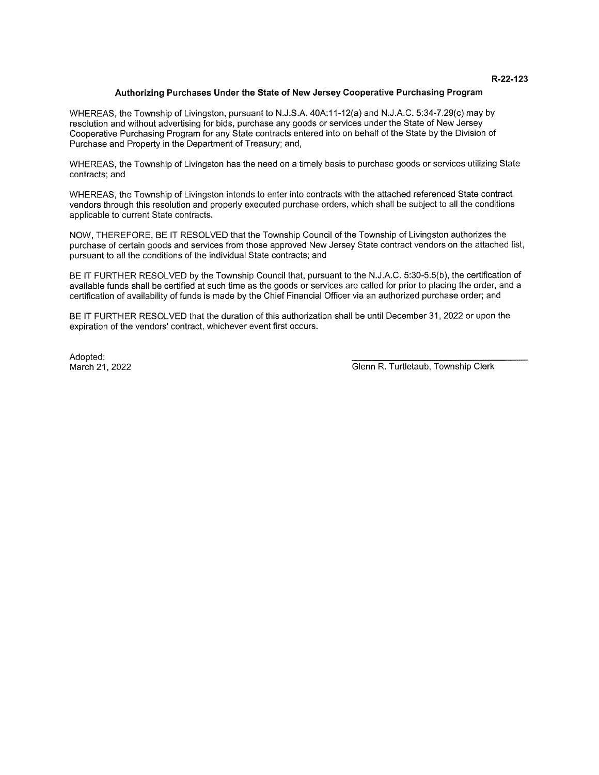#### Authorizing Purchases Under the State of New Jersey Cooperative Purchasing Program

WHEREAS, the Township of Livingston, pursuant to N.J.S.A. 40A:1 1-12(a) and N.J.A.C. 5:34-7.29(c) may by resolution and without advertising for bids, purchase any goods or services under the State of New Jersey Cooperative Purchasing Program for any State contracts entered into on behalf of the State by the Division of Purchase and Property in the Department of Treasury; and,

WHEREAS, the Township of Livingston has the need on a timely basis to purchase goods or services utilizing State contracts; and

WHEREAS, the Township of Livingston intends to enter into contracts with the attached referenced State contract vendors through this resolution and properly executed purchase orders, which shall be subject to all the conditions applicable to current State contracts.

NOW, THEREFORE, BE IT RESOLVED that the Township Council of the Township of Livingston authorizes the purchase of certain goods and services from those approved New Jersey State contract vendors on the attached list, pursuant to all the conditions of the individual State contracts; and

BE IT FURTHER RESOLVED by the Township Council that, pursuant to the N.J.A.C. 5:30-5.5(b), the certification of available funds shall be certified at such time as the goods or services are called for prior to placing the order, and a certification of availability of funds is made by the Chief Financial Officer via an authorized purchase order; and

BE IT FURTHER RESOLVED that the duration of this authorization shall be until December 31, 2022 or upon the expiration of the vendors' contract, whichever event first occurs.

Adopted:

March 21, 2022 **March 21, 2022** Glenn R. Turtletaub, Township Clerk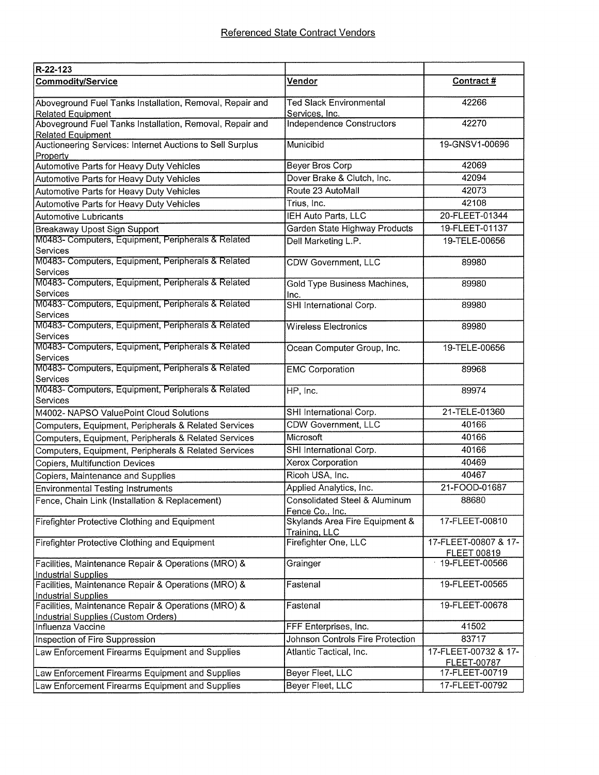| R-22-123                                                                                          |                                                            |                                            |
|---------------------------------------------------------------------------------------------------|------------------------------------------------------------|--------------------------------------------|
| <b>Commodity/Service</b>                                                                          | <u>Vendor</u>                                              | Contract #                                 |
| Aboveground Fuel Tanks Installation, Removal, Repair and<br><b>Related Equipment</b>              | <b>Ted Slack Environmental</b><br>Services, Inc.           | 42266                                      |
| Aboveground Fuel Tanks Installation, Removal, Repair and<br><b>Related Equipment</b>              | <b>Independence Constructors</b>                           | 42270                                      |
| Auctioneering Services: Internet Auctions to Sell Surplus<br>Property                             | Municibid                                                  | 19-GNSV1-00696                             |
| Automotive Parts for Heavy Duty Vehicles                                                          | Beyer Bros Corp                                            | 42069                                      |
| Automotive Parts for Heavy Duty Vehicles                                                          | Dover Brake & Clutch, Inc.                                 | 42094                                      |
| Automotive Parts for Heavy Duty Vehicles                                                          | Route 23 AutoMall                                          | 42073                                      |
| Automotive Parts for Heavy Duty Vehicles                                                          | Trius, Inc.                                                | 42108                                      |
| <b>Automotive Lubricants</b>                                                                      | IEH Auto Parts, LLC                                        | 20-FLEET-01344                             |
| Breakaway Upost Sign Support                                                                      | Garden State Highway Products                              | 19-FLEET-01137                             |
| M0483- Computers, Equipment, Peripherals & Related<br>Services                                    | Dell Marketing L.P.                                        | 19-TELE-00656                              |
| M0483- Computers, Equipment, Peripherals & Related<br>Services                                    | <b>CDW Government, LLC</b>                                 | 89980                                      |
| M0483- Computers, Equipment, Peripherals & Related<br>Services                                    | Gold Type Business Machines,<br>Inc.                       | 89980                                      |
| M0483- Computers, Equipment, Peripherals & Related<br>Services                                    | SHI International Corp.                                    | 89980                                      |
| M0483- Computers, Equipment, Peripherals & Related<br>Services                                    | <b>Wireless Electronics</b>                                | 89980                                      |
| M0483- Computers, Equipment, Peripherals & Related<br>Services                                    | Ocean Computer Group, Inc.                                 | 19-TELE-00656                              |
| M0483- Computers, Equipment, Peripherals & Related<br>Services                                    | <b>EMC Corporation</b>                                     | 89968                                      |
| M0483- Computers, Equipment, Peripherals & Related<br>Services                                    | HP, Inc.                                                   | 89974                                      |
| M4002- NAPSO ValuePoint Cloud Solutions                                                           | SHI International Corp.                                    | 21-TELE-01360                              |
| Computers, Equipment, Peripherals & Related Services                                              | <b>CDW Government, LLC</b>                                 | 40166                                      |
| Computers, Equipment, Peripherals & Related Services                                              | Microsoft                                                  | 40166                                      |
| Computers, Equipment, Peripherals & Related Services                                              | SHI International Corp.                                    | 40166                                      |
| <b>Copiers, Multifunction Devices</b>                                                             | Xerox Corporation                                          | 40469                                      |
| Copiers, Maintenance and Supplies                                                                 | Ricoh USA, Inc.                                            | 40467                                      |
| <b>Environmental Testing Instruments</b>                                                          | Applied Analytics, Inc.                                    | 21-FOOD-01687                              |
| Fence, Chain Link (Installation & Replacement)                                                    | Consolidated Steel & Aluminum<br>Fence Co., Inc.           | 88680                                      |
| <b>Firefighter Protective Clothing and Equipment</b>                                              | <b>Skylands Area Fire Equipment &amp;</b><br>Training, LLC | 17-FLEET-00810                             |
| <b>Firefighter Protective Clothing and Equipment</b>                                              | Firefighter One, LLC                                       | 17-FLEET-00807 & 17-<br>FLEET 00819        |
| Facilities, Maintenance Repair & Operations (MRO) &<br><b>Industrial Supplies</b>                 | Grainger                                                   | 19-FLEET-00566                             |
| Facilities, Maintenance Repair & Operations (MRO) &<br><b>Industrial Supplies</b>                 | Fastenal                                                   | 19-FLEET-00565                             |
| Facilities, Maintenance Repair & Operations (MRO) &<br><b>Industrial Supplies (Custom Orders)</b> | Fastenal                                                   | 19-FLEET-00678                             |
| Influenza Vaccine                                                                                 | FFF Enterprises, Inc.                                      | 41502                                      |
| Inspection of Fire Suppression                                                                    | Johnson Controls Fire Protection                           | 83717                                      |
| Law Enforcement Firearms Equipment and Supplies                                                   | Atlantic Tactical, Inc.                                    | 17-FLEET-00732 & 17-<br><b>FLEET-00787</b> |
| Law Enforcement Firearms Equipment and Supplies                                                   | Beyer Fleet, LLC                                           | 17-FLEET-00719                             |
| Law Enforcement Firearms Equipment and Supplies                                                   | Beyer Fleet, LLC                                           | 17-FLEET-00792                             |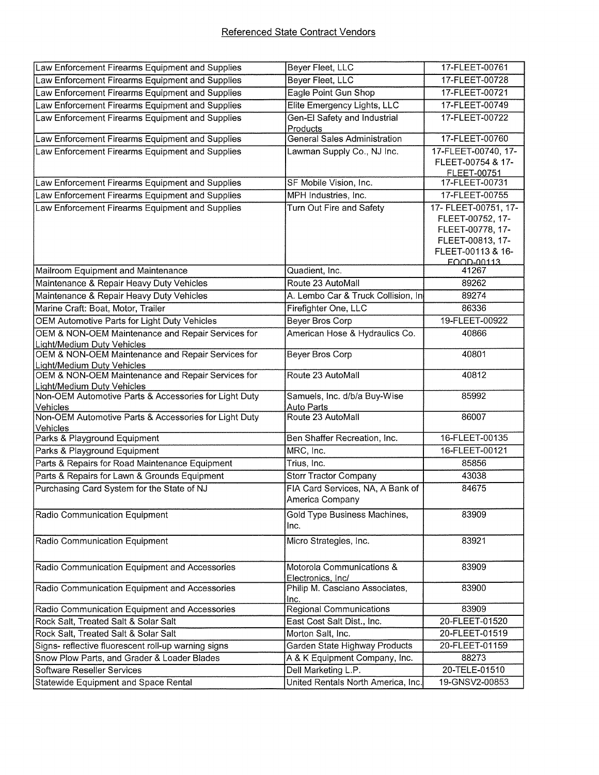| Law Enforcement Firearms Equipment and Supplies                                 | Beyer Fleet, LLC                                    | 17-FLEET-00761                                                                                                      |
|---------------------------------------------------------------------------------|-----------------------------------------------------|---------------------------------------------------------------------------------------------------------------------|
| Law Enforcement Firearms Equipment and Supplies                                 | Beyer Fleet, LLC                                    | 17-FLEET-00728                                                                                                      |
| Law Enforcement Firearms Equipment and Supplies                                 | Eagle Point Gun Shop                                | 17-FLEET-00721                                                                                                      |
| Law Enforcement Firearms Equipment and Supplies                                 | Elite Emergency Lights, LLC                         | 17-FLEET-00749                                                                                                      |
| Law Enforcement Firearms Equipment and Supplies                                 | Gen-El Safety and Industrial<br>Products            | 17-FLEET-00722                                                                                                      |
| Law Enforcement Firearms Equipment and Supplies                                 | <b>General Sales Administration</b>                 | 17-FLEET-00760                                                                                                      |
| Law Enforcement Firearms Equipment and Supplies                                 | Lawman Supply Co., NJ Inc.                          | 17-FLEET-00740, 17-<br>FLEET-00754 & 17-<br>FLEET-00751                                                             |
| Law Enforcement Firearms Equipment and Supplies                                 | SF Mobile Vision, Inc.                              | 17-FLEET-00731                                                                                                      |
| Law Enforcement Firearms Equipment and Supplies                                 | MPH Industries, Inc.                                | 17-FLEET-00755                                                                                                      |
| Law Enforcement Firearms Equipment and Supplies                                 | Turn Out Fire and Safety                            | 17- FLEET-00751, 17-<br>FLEET-00752, 17-<br>FLEET-00778, 17-<br>FLEET-00813, 17-<br>FLEET-00113 & 16-<br>EQQD-00113 |
| Mailroom Equipment and Maintenance                                              | Quadient, Inc.                                      | 41267                                                                                                               |
| Maintenance & Repair Heavy Duty Vehicles                                        | Route 23 AutoMall                                   | 89262                                                                                                               |
| Maintenance & Repair Heavy Duty Vehicles                                        | A. Lembo Car & Truck Collision, In                  | 89274                                                                                                               |
| Marine Craft: Boat, Motor, Trailer                                              | Firefighter One, LLC                                | 86336                                                                                                               |
| OEM Automotive Parts for Light Duty Vehicles                                    | <b>Beyer Bros Corp</b>                              | 19-FLEET-00922                                                                                                      |
| OEM & NON-OEM Maintenance and Repair Services for<br>Light/Medium Duty Vehicles | American Hose & Hydraulics Co.                      | 40866                                                                                                               |
| OEM & NON-OEM Maintenance and Repair Services for<br>Light/Medium Duty Vehicles | Beyer Bros Corp                                     | 40801                                                                                                               |
| OEM & NON-OEM Maintenance and Repair Services for<br>Light/Medium Duty Vehicles | Route 23 AutoMall                                   | 40812                                                                                                               |
| Non-OEM Automotive Parts & Accessories for Light Duty<br>Vehicles               | Samuels, Inc. d/b/a Buy-Wise<br><b>Auto Parts</b>   | 85992                                                                                                               |
| Non-OEM Automotive Parts & Accessories for Light Duty<br>Vehicles               | Route 23 AutoMall                                   | 86007                                                                                                               |
| Parks & Playground Equipment                                                    | Ben Shaffer Recreation, Inc.                        | 16-FLEET-00135                                                                                                      |
| Parks & Playground Equipment                                                    | MRC, Inc.                                           | 16-FLEET-00121                                                                                                      |
| Parts & Repairs for Road Maintenance Equipment                                  | Trius, Inc.                                         | 85856                                                                                                               |
| Parts & Repairs for Lawn & Grounds Equipment                                    | <b>Storr Tractor Company</b>                        | 43038                                                                                                               |
| Purchasing Card System for the State of NJ                                      | FIA Card Services, NA, A Bank of<br>America Company | 84675                                                                                                               |
| Radio Communication Equipment                                                   | Gold Type Business Machines,<br>inc.                | 83909                                                                                                               |
| Radio Communication Equipment                                                   | Micro Strategies, Inc.                              | 83921                                                                                                               |
| Radio Communication Equipment and Accessories                                   | Motorola Communications &<br>Electronics, Inc/      | 83909                                                                                                               |
| Radio Communication Equipment and Accessories                                   | Philip M. Casciano Associates,<br>Inc.              | 83900                                                                                                               |
| Radio Communication Equipment and Accessories                                   | <b>Regional Communications</b>                      | 83909                                                                                                               |
| Rock Salt, Treated Salt & Solar Salt                                            | East Cost Salt Dist., Inc.                          | 20-FLEET-01520                                                                                                      |
| Rock Salt, Treated Salt & Solar Salt                                            | Morton Salt, Inc.                                   | 20-FLEET-01519                                                                                                      |
| Signs- reflective fluorescent roll-up warning signs                             | Garden State Highway Products                       | 20-FLEET-01159                                                                                                      |
| Snow Plow Parts, and Grader & Loader Blades                                     | A & K Equipment Company, Inc.                       | 88273                                                                                                               |
| <b>Software Reseller Services</b>                                               | Dell Marketing L.P.                                 | 20-TELE-01510                                                                                                       |
| Statewide Equipment and Space Rental                                            | United Rentals North America, Inc.                  | 19-GNSV2-00853                                                                                                      |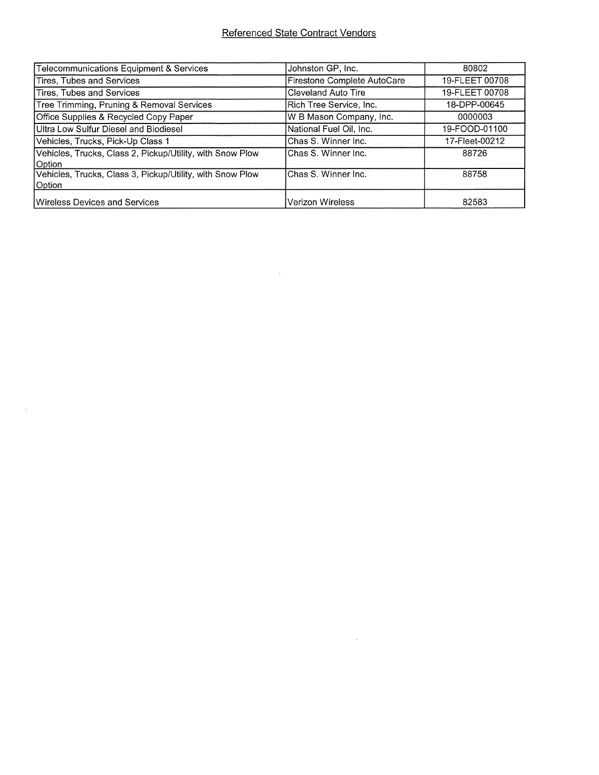## Referenced State Contract Vendors

 $\mathcal{L}_{\text{max}}$  and  $\mathcal{L}_{\text{max}}$ 

 $\mathcal{L}(\mathcal{A})$  and  $\mathcal{L}(\mathcal{A})$  .

 $\mathcal{A}^{\text{max}}$ 

| <b>Telecommunications Equipment &amp; Services</b>                  | Johnston GP, Inc.           | 80802          |
|---------------------------------------------------------------------|-----------------------------|----------------|
| <b>Tires, Tubes and Services</b>                                    | Firestone Complete AutoCare | 19-FLEET 00708 |
| Tires, Tubes and Services                                           | <b>Cleveland Auto Tire</b>  | 19-FLEET 00708 |
| Tree Trimming, Pruning & Removal Services                           | Rich Tree Service, Inc.     | 18-DPP-00645   |
| Office Supplies & Recycled Copy Paper                               | W B Mason Company, Inc.     | 0000003        |
| Ultra Low Sulfur Diesel and Biodiesel                               | National Fuel Oil, Inc.     | 19-FOOD-01100  |
| Vehicles, Trucks, Pick-Up Class 1                                   | Chas S. Winner Inc.         | 17-Fleet-00212 |
| Vehicles, Trucks, Class 2, Pickup/Utility, with Snow Plow<br>Option | Chas S. Winner Inc.         | 88726          |
| Vehicles, Trucks, Class 3, Pickup/Utility, with Snow Plow<br>Option | Chas S. Winner Inc.         | 88758          |
| Wireless Devices and Services                                       | Verizon Wireless            | 82583          |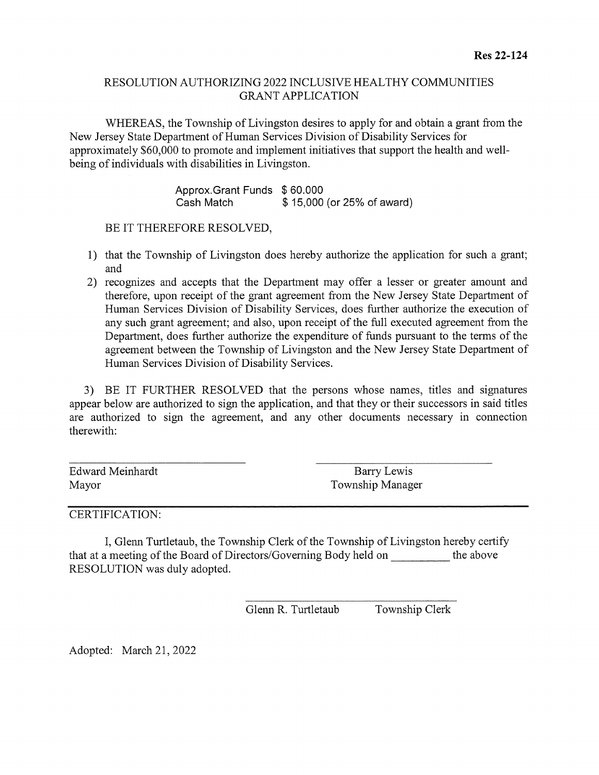## RESOLUTION AUTHORIZING 2022 INCLUSIVE HEALTHY COMMUNITIES GRANT APPLICATION

WHEREAS, the Township of Livingston desires to apply for and obtain <sup>a</sup> grant from the New Jersey State Department of Human Services Division of Disability Services for approximately \$60,000 to promote and implement initiatives that support the health and well being of individuals with disabilities in Livingston.

> Approx.Grant Funds \$ 60.000 Cash Match  $$15,000$  (or 25% of award)

BE IT THEREFORE RESOLVED,

- 1) that the Township of Livingston does hereby authorize the application for such <sup>a</sup> grant; and
- 2) recognizes and accepts that the Department may offer a lesser or greater amount and therefore, upon receipt of the grant agreement from the New Jersey State Department of Human Services Division of Disability Services, does further authorize the execution of any such grant agreement; and also, upon receipt of the full executed agreement from the Department, does further authorize the expenditure of funds pursuant to the terms of the agreement between the Township of Livingston and the New Jersey State Department of Human Services Division of Disability Services.

3) BE IT FURTHER RESOLVED that the persons whose names, titles and signatures appear below are authorized to sign the application, and that they or their successors in said titles are authorized to sign the agreement, and any other documents necessary in connection therewith:

Edward Meinhardt Barry Lewis

Mayor Township Manager

CERTIFICATION:

I, Glenn Turtletaub, the Township Clerk of the Township of Livingston hereby certify that at <sup>a</sup> meeting of the Board of Directors/Governing Body held on \_\_\_\_\_\_\_\_\_\_ the above RESOLUTION was duly adopted.

Glenn R. Turtletaub Township Clerk

Adopted: March 21, 2022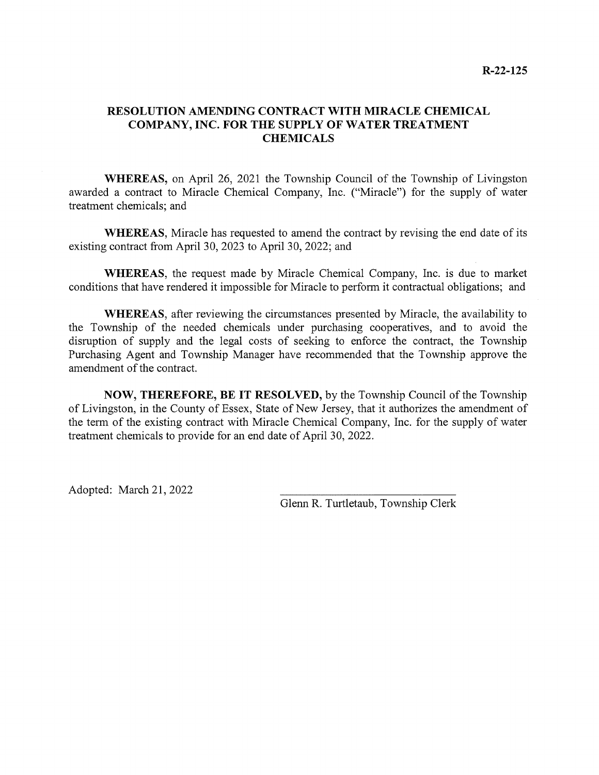### RESOLUTION AMENDING CONTRACT WITH MIRACLE CHEMICAL COMPANY, INC. FOR THE SUPPLY OF WATER TREATMENT **CHEMICALS**

WHEREAS, on April 26, 2021 the Township Council of the Township of Livingston awarded <sup>a</sup> contract to Miracle Chemical Company, Inc. ("Miracle") for the supply of water treatment chemicals; and

WHEREAS, Miracle has requested to amend the contract by revising the end date of its existing contract from April 30, 2023 to April 30, 2022; and

WHEREAS, the request made by Miracle Chemical Company, Inc. is due to market conditions that have rendered it impossible for Miracle to perform it contractual obligations; and

WHEREAS, after reviewing the circumstances presented by Miracle, the availability to the Township of the needed chemicals under purchasing cooperatives, and to avoid the disruption of supply and the legal costs of seeking to enforce the contract, the Township Purchasing Agent and Township Manager have recommended that the Township approve the amendment of the contract.

NOW, THEREFORE, BE IT RESOLVED, by the Township Council of the Township of Livingston, in the County of Essex, State of New Jersey, that it authorizes the amendment of the term of the existing contract with Miracle Chemical Company, Inc. for the supply of water treatment chemicals to provide for an end date of April 30, 2022.

Adopted: March 21, 2022

Glenn R. Turtletaub, Township Clerk